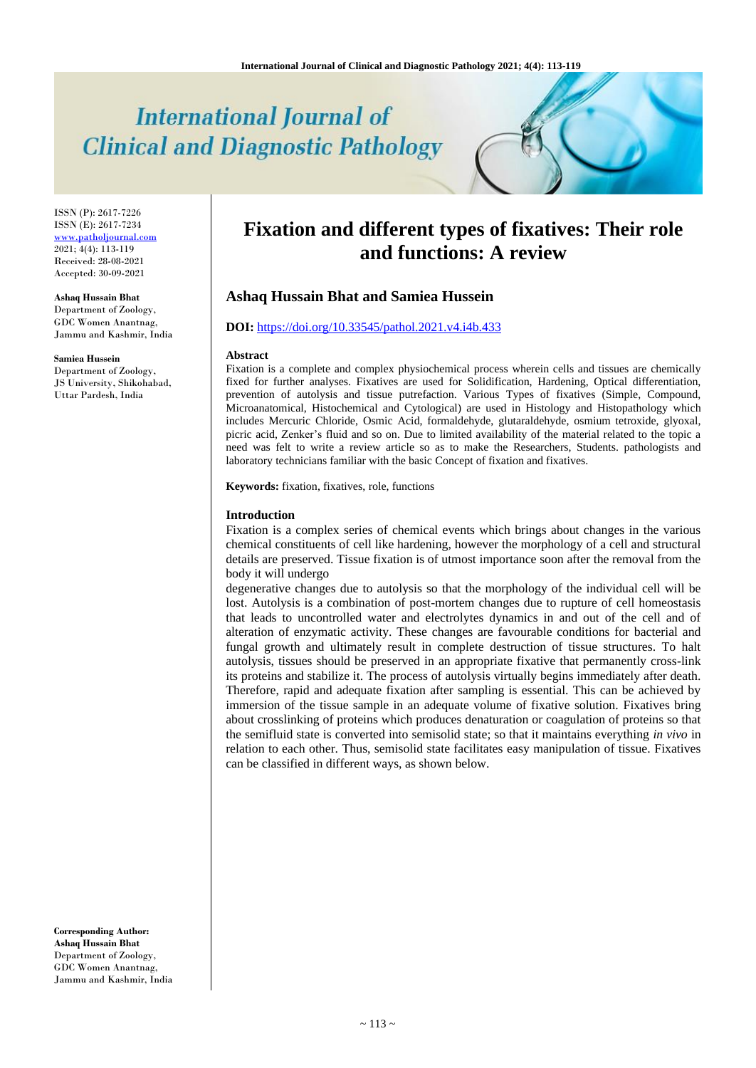# **International Journal of Clinical and Diagnostic Pathology**

ISSN (P): 2617-7226 ISSN (E): 2617-7234 <www.patholjournal.com> 2021; 4(4): 113-119 Received: 28-08-2021 Accepted: 30-09-2021

#### **Ashaq Hussain Bhat**

Department of Zoology, GDC Women Anantnag, Jammu and Kashmir, India

**Samiea Hussein**

Department of Zoology, JS University, Shikohabad, Uttar Pardesh, India

**Fixation and different types of fixatives: Their role and functions: A review**

# **Ashaq Hussain Bhat and Samiea Hussein**

# **DOI:** <https://doi.org/10.33545/pathol.2021.v4.i4b.433>

#### **Abstract**

Fixation is a complete and complex physiochemical process wherein cells and tissues are chemically fixed for further analyses. Fixatives are used for Solidification, Hardening, Optical differentiation, prevention of autolysis and tissue putrefaction. Various Types of fixatives (Simple, Compound, Microanatomical, Histochemical and Cytological) are used in Histology and Histopathology which includes Mercuric Chloride, Osmic Acid, formaldehyde, glutaraldehyde, osmium tetroxide, glyoxal, picric acid, Zenker's fluid and so on. Due to limited availability of the material related to the topic a need was felt to write a review article so as to make the Researchers, Students. pathologists and laboratory technicians familiar with the basic Concept of fixation and fixatives.

**Keywords:** fixation, fixatives, role, functions

#### **Introduction**

Fixation is a complex series of chemical events which brings about changes in the various chemical constituents of cell like hardening, however the morphology of a cell and structural details are preserved. Tissue fixation is of utmost importance soon after the removal from the body it will undergo

degenerative changes due to autolysis so that the morphology of the individual cell will be lost. Autolysis is a combination of post-mortem changes due to rupture of cell homeostasis that leads to uncontrolled water and electrolytes dynamics in and out of the cell and of alteration of enzymatic activity. These changes are favourable conditions for bacterial and fungal growth and ultimately result in complete destruction of tissue structures. To halt autolysis, tissues should be preserved in an appropriate fixative that permanently cross-link its proteins and stabilize it. The process of autolysis virtually begins immediately after death. Therefore, rapid and adequate fixation after sampling is essential. This can be achieved by immersion of the tissue sample in an adequate volume of fixative solution. Fixatives bring about crosslinking of proteins which produces denaturation or coagulation of proteins so that the semifluid state is converted into semisolid state; so that it maintains everything *in vivo* in relation to each other. Thus, semisolid state facilitates easy manipulation of tissue. Fixatives can be classified in different ways, as shown below.

**Corresponding Author: Ashaq Hussain Bhat** Department of Zoology, GDC Women Anantnag, Jammu and Kashmir, India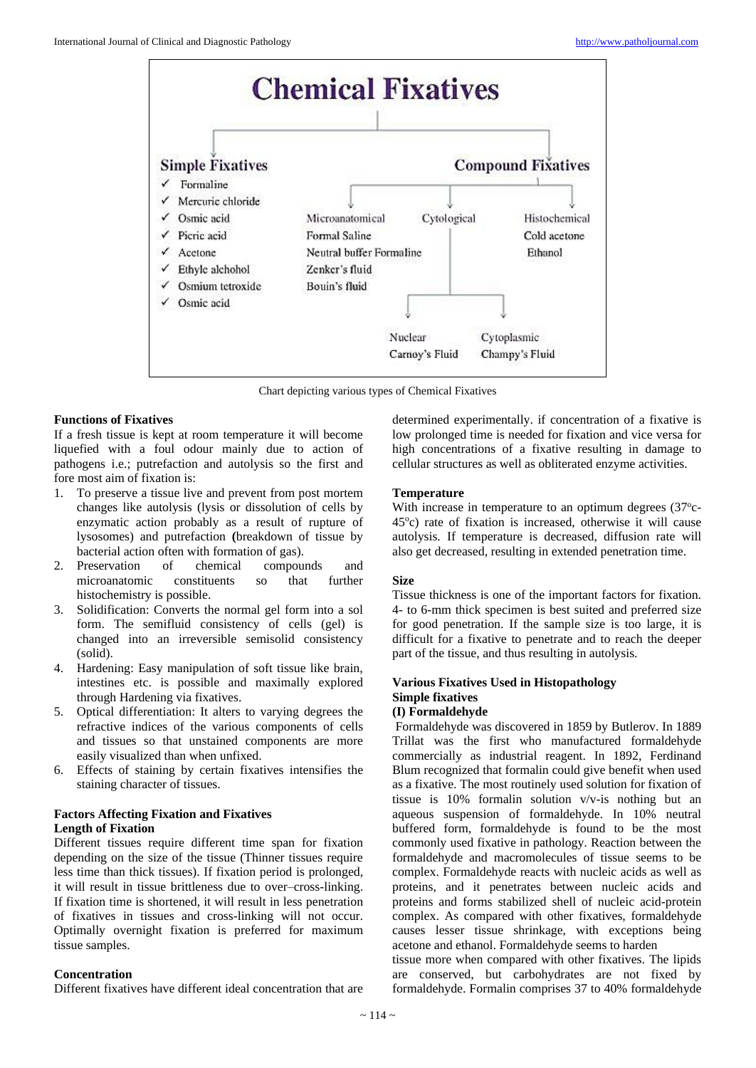

Chart depicting various types of Chemical Fixatives

#### **Functions of Fixatives**

If a fresh tissue is kept at room temperature it will become liquefied with a foul odour mainly due to action of pathogens i.e.; putrefaction and autolysis so the first and fore most aim of fixation is:

- 1. To preserve a tissue live and prevent from post mortem changes like autolysis (lysis or dissolution of cells by enzymatic action probably as a result of rupture of lysosomes) and putrefaction **(**breakdown of tissue by bacterial action often with formation of gas).
- 2. Preservation of chemical compounds and microanatomic constituents so that further histochemistry is possible.
- 3. Solidification: Converts the normal gel form into a sol form. The semifluid consistency of cells (gel) is changed into an irreversible semisolid consistency (solid).
- 4. Hardening: Easy manipulation of soft tissue like brain, intestines etc. is possible and maximally explored through Hardening via fixatives.
- 5. Optical differentiation: It alters to varying degrees the refractive indices of the various components of cells and tissues so that unstained components are more easily visualized than when unfixed.
- 6. Effects of staining by certain fixatives intensifies the staining character of tissues.

# **Factors Affecting Fixation and Fixatives Length of Fixation**

Different tissues require different time span for fixation depending on the size of the tissue (Thinner tissues require less time than thick tissues). If fixation period is prolonged, it will result in tissue brittleness due to over–cross-linking. If fixation time is shortened, it will result in less penetration of fixatives in tissues and cross-linking will not occur. Optimally overnight fixation is preferred for maximum tissue samples.

### **Concentration**

Different fixatives have different ideal concentration that are

determined experimentally. if concentration of a fixative is low prolonged time is needed for fixation and vice versa for high concentrations of a fixative resulting in damage to cellular structures as well as obliterated enzyme activities.

# **Temperature**

With increase in temperature to an optimum degrees (37°c-45<sup>o</sup> c) rate of fixation is increased, otherwise it will cause autolysis. If temperature is decreased, diffusion rate will also get decreased, resulting in extended penetration time.

# **Size**

Tissue thickness is one of the important factors for fixation. 4- to 6-mm thick specimen is best suited and preferred size for good penetration. If the sample size is too large, it is difficult for a fixative to penetrate and to reach the deeper part of the tissue, and thus resulting in autolysis.

# **Various Fixatives Used in Histopathology Simple fixatives**

#### **(I) Formaldehyde**

Formaldehyde was discovered in 1859 by Butlerov. In 1889 Trillat was the first who manufactured formaldehyde commercially as industrial reagent. In 1892, Ferdinand Blum recognized that formalin could give benefit when used as a fixative. The most routinely used solution for fixation of tissue is 10% formalin solution v/v-is nothing but an aqueous suspension of formaldehyde. In 10% neutral buffered form, formaldehyde is found to be the most commonly used fixative in pathology. Reaction between the formaldehyde and macromolecules of tissue seems to be complex. Formaldehyde reacts with nucleic acids as well as proteins, and it penetrates between nucleic acids and proteins and forms stabilized shell of nucleic acid-protein complex. As compared with other fixatives, formaldehyde causes lesser tissue shrinkage, with exceptions being acetone and ethanol. Formaldehyde seems to harden

tissue more when compared with other fixatives. The lipids are conserved, but carbohydrates are not fixed by formaldehyde. Formalin comprises 37 to 40% formaldehyde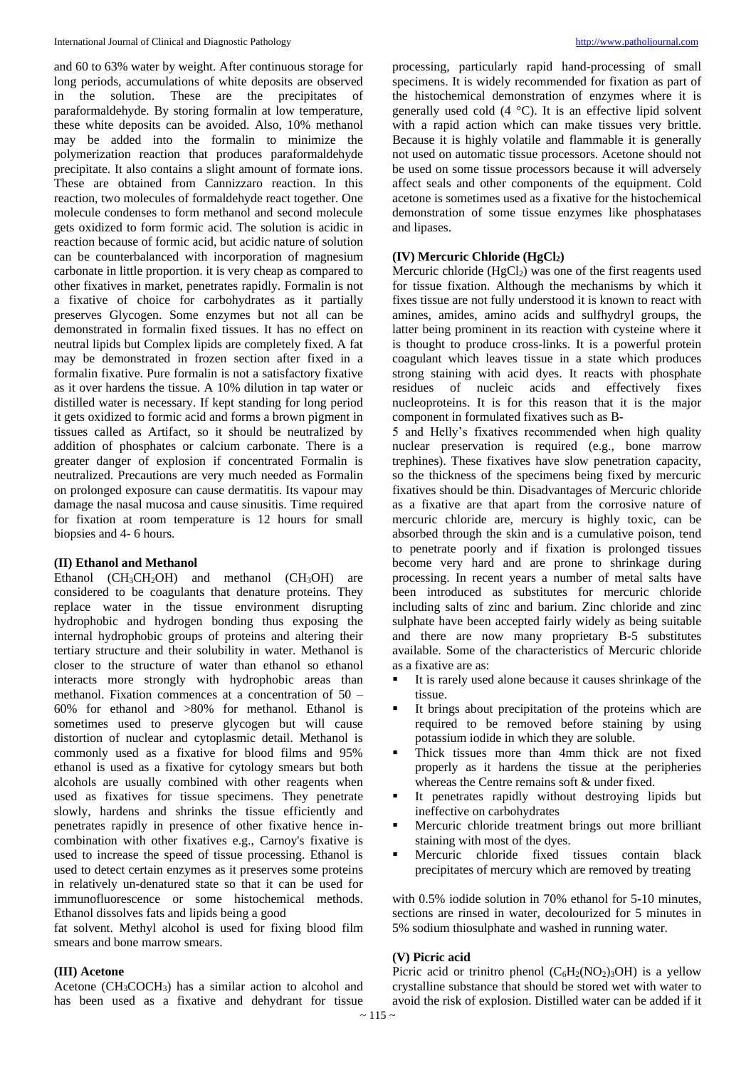and 60 to 63% water by weight. After continuous storage for long periods, accumulations of white deposits are observed in the solution. These are the precipitates of paraformaldehyde. By storing formalin at low temperature, these white deposits can be avoided. Also, 10% methanol may be added into the formalin to minimize the polymerization reaction that produces paraformaldehyde precipitate. It also contains a slight amount of formate ions. These are obtained from Cannizzaro reaction. In this reaction, two molecules of formaldehyde react together. One molecule condenses to form methanol and second molecule gets oxidized to form formic acid. The solution is acidic in reaction because of formic acid, but acidic nature of solution can be counterbalanced with incorporation of magnesium carbonate in little proportion. it is very cheap as compared to other fixatives in market, penetrates rapidly. Formalin is not a fixative of choice for carbohydrates as it partially preserves Glycogen. Some enzymes but not all can be demonstrated in formalin fixed tissues. It has no effect on neutral lipids but Complex lipids are completely fixed. A fat may be demonstrated in frozen section after fixed in a formalin fixative. Pure formalin is not a satisfactory fixative as it over hardens the tissue. A 10% dilution in tap water or distilled water is necessary. If kept standing for long period it gets oxidized to formic acid and forms a brown pigment in tissues called as Artifact, so it should be neutralized by addition of phosphates or calcium carbonate. There is a greater danger of explosion if concentrated Formalin is neutralized. Precautions are very much needed as Formalin on prolonged exposure can cause dermatitis. Its vapour may damage the nasal mucosa and cause sinusitis. Time required for fixation at room temperature is 12 hours for small biopsies and 4- 6 hours.

# **(II) Ethanol and Methanol**

Ethanol  $(CH_3CH_2OH)$  and methanol  $(CH_3OH)$  are considered to be coagulants that denature proteins. They replace water in the tissue environment disrupting hydrophobic and hydrogen bonding thus exposing the internal hydrophobic groups of proteins and altering their tertiary structure and their solubility in water. Methanol is closer to the structure of water than ethanol so ethanol interacts more strongly with hydrophobic areas than methanol. Fixation commences at a concentration of 50 – 60% for ethanol and >80% for methanol. Ethanol is sometimes used to preserve glycogen but will cause distortion of nuclear and cytoplasmic detail. Methanol is commonly used as a fixative for blood films and 95% ethanol is used as a fixative for cytology smears but both alcohols are usually combined with other reagents when used as fixatives for tissue specimens. They penetrate slowly, hardens and shrinks the tissue efficiently and penetrates rapidly in presence of other fixative hence incombination with other fixatives e.g., Carnoy's fixative is used to increase the speed of tissue processing. Ethanol is used to detect certain enzymes as it preserves some proteins in relatively un-denatured state so that it can be used for immunofluorescence or some histochemical methods. Ethanol dissolves fats and lipids being a good

fat solvent. Methyl alcohol is used for fixing blood film smears and bone marrow smears.

# **(III) Acetone**

Acetone  $(CH_3COCH_3)$  has a similar action to alcohol and has been used as a fixative and dehydrant for tissue processing, particularly rapid hand-processing of small specimens. It is widely recommended for fixation as part of the histochemical demonstration of enzymes where it is generally used cold (4 °C). It is an effective lipid solvent with a rapid action which can make tissues very brittle. Because it is highly volatile and flammable it is generally not used on automatic tissue processors. Acetone should not be used on some tissue processors because it will adversely affect seals and other components of the equipment. Cold acetone is sometimes used as a fixative for the histochemical demonstration of some tissue enzymes like phosphatases and lipases.

# **(IV) Mercuric Chloride (HgCl2)**

Mercuric chloride  $(HgCl<sub>2</sub>)$  was one of the first reagents used for tissue fixation. Although the mechanisms by which it fixes tissue are not fully understood it is known to react with amines, amides, amino acids and sulfhydryl groups, the latter being prominent in its reaction with cysteine where it is thought to produce cross-links. It is a powerful protein coagulant which leaves tissue in a state which produces strong staining with acid dyes. It reacts with phosphate residues of nucleic acids and effectively fixes nucleoproteins. It is for this reason that it is the major component in formulated fixatives such as B-

5 and Helly's fixatives recommended when high quality nuclear preservation is required (e.g., bone marrow trephines). These fixatives have slow penetration capacity, so the thickness of the specimens being fixed by mercuric fixatives should be thin. Disadvantages of Mercuric chloride as a fixative are that apart from the corrosive nature of mercuric chloride are, mercury is highly toxic, can be absorbed through the skin and is a cumulative poison, tend to penetrate poorly and if fixation is prolonged tissues become very hard and are prone to shrinkage during processing. In recent years a number of metal salts have been introduced as substitutes for mercuric chloride including salts of zinc and barium. Zinc chloride and zinc sulphate have been accepted fairly widely as being suitable and there are now many proprietary B-5 substitutes available. Some of the characteristics of Mercuric chloride as a fixative are as:

- It is rarely used alone because it causes shrinkage of the tissue.
- It brings about precipitation of the proteins which are required to be removed before staining by using potassium iodide in which they are soluble.
- Thick tissues more than 4mm thick are not fixed properly as it hardens the tissue at the peripheries whereas the Centre remains soft & under fixed.
- It penetrates rapidly without destroying lipids but ineffective on carbohydrates
- Mercuric chloride treatment brings out more brilliant staining with most of the dyes.
- Mercuric chloride fixed tissues contain black precipitates of mercury which are removed by treating

with 0.5% iodide solution in 70% ethanol for 5-10 minutes, sections are rinsed in water, decolourized for 5 minutes in 5% sodium thiosulphate and washed in running water.

# **(V) Picric acid**

Picric acid or trinitro phenol  $(C_6H_2(NO_2)_3OH)$  is a yellow crystalline substance that should be stored wet with water to avoid the risk of explosion. Distilled water can be added if it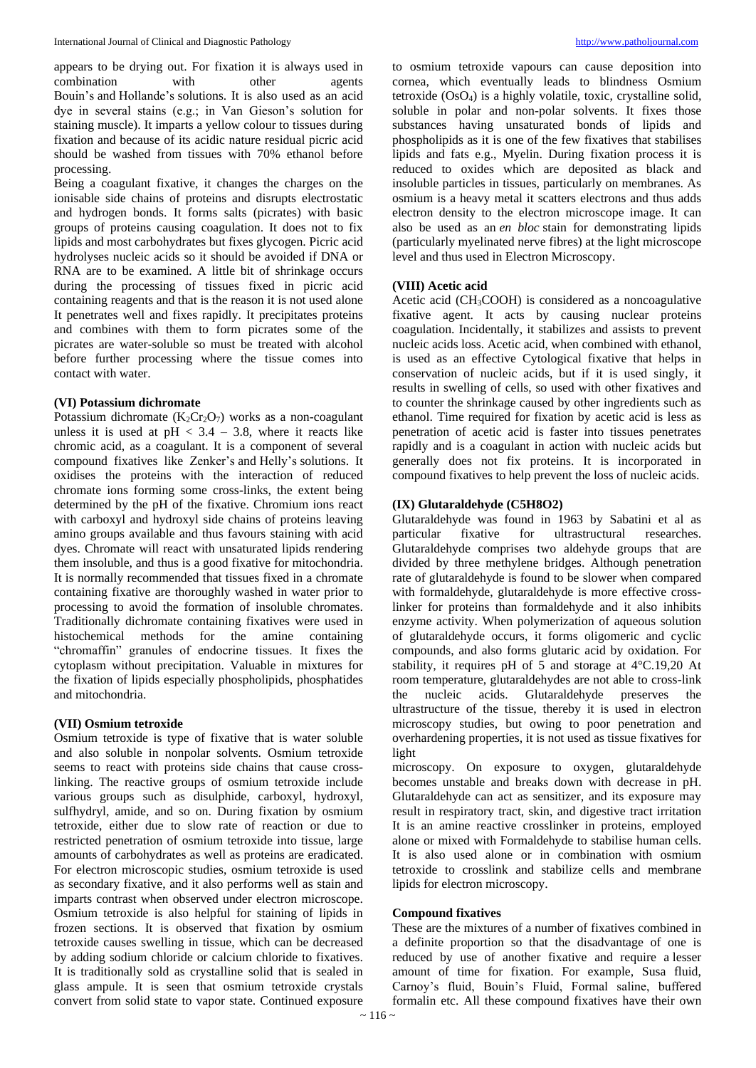appears to be drying out. For fixation it is always used in combination with other agents Bouin's and Hollande's solutions. It is also used as an acid dye in several stains (e.g.; in Van Gieson's solution for staining muscle). It imparts a yellow colour to tissues during fixation and because of its acidic nature residual picric acid should be washed from tissues with 70% ethanol before processing.

Being a coagulant fixative, it changes the charges on the ionisable side chains of proteins and disrupts electrostatic and hydrogen bonds. It forms salts (picrates) with basic groups of proteins causing coagulation. It does not to fix lipids and most carbohydrates but fixes glycogen. Picric acid hydrolyses nucleic acids so it should be avoided if DNA or RNA are to be examined. A little bit of shrinkage occurs during the processing of tissues fixed in picric acid containing reagents and that is the reason it is not used alone It penetrates well and fixes rapidly. It precipitates proteins and combines with them to form picrates some of the picrates are water-soluble so must be treated with alcohol before further processing where the tissue comes into contact with water.

# **(VI) Potassium dichromate**

Potassium dichromate  $(K_2Cr_2O_7)$  works as a non-coagulant unless it is used at  $pH < 3.4 - 3.8$ , where it reacts like chromic acid, as a coagulant. It is a component of several compound fixatives like Zenker's and Helly's solutions. It oxidises the proteins with the interaction of reduced chromate ions forming some cross-links, the extent being determined by the pH of the fixative. Chromium ions react with carboxyl and hydroxyl side chains of proteins leaving amino groups available and thus favours staining with acid dyes. Chromate will react with unsaturated lipids rendering them insoluble, and thus is a good fixative for mitochondria. It is normally recommended that tissues fixed in a chromate containing fixative are thoroughly washed in water prior to processing to avoid the formation of insoluble chromates. Traditionally dichromate containing fixatives were used in histochemical methods for the amine containing "chromaffin" granules of endocrine tissues. It fixes the cytoplasm without precipitation. Valuable in mixtures for the fixation of lipids especially phospholipids, phosphatides and mitochondria.

#### **(VII) Osmium tetroxide**

Osmium tetroxide is type of fixative that is water soluble and also soluble in nonpolar solvents. Osmium tetroxide seems to react with proteins side chains that cause crosslinking. The reactive groups of osmium tetroxide include various groups such as disulphide, carboxyl, hydroxyl, sulfhydryl, amide, and so on. During fixation by osmium tetroxide, either due to slow rate of reaction or due to restricted penetration of osmium tetroxide into tissue, large amounts of carbohydrates as well as proteins are eradicated. For electron microscopic studies, osmium tetroxide is used as secondary fixative, and it also performs well as stain and imparts contrast when observed under electron microscope. Osmium tetroxide is also helpful for staining of lipids in frozen sections. It is observed that fixation by osmium tetroxide causes swelling in tissue, which can be decreased by adding sodium chloride or calcium chloride to fixatives. It is traditionally sold as crystalline solid that is sealed in glass ampule. It is seen that osmium tetroxide crystals convert from solid state to vapor state. Continued exposure to osmium tetroxide vapours can cause deposition into cornea, which eventually leads to blindness Osmium tetroxide (OsO4) is a highly volatile, toxic, crystalline solid, soluble in polar and non-polar solvents. It fixes those substances having unsaturated bonds of lipids and phospholipids as it is one of the few fixatives that stabilises lipids and fats e.g., Myelin. During fixation process it is reduced to oxides which are deposited as black and insoluble particles in tissues, particularly on membranes. As osmium is a heavy metal it scatters electrons and thus adds electron density to the electron microscope image. It can also be used as an *en bloc* stain for demonstrating lipids (particularly myelinated nerve fibres) at the light microscope level and thus used in Electron Microscopy.

# **(VIII) Acetic acid**

Acetic acid (CH3COOH) is considered as a noncoagulative fixative agent. It acts by causing nuclear proteins coagulation. Incidentally, it stabilizes and assists to prevent nucleic acids loss. Acetic acid, when combined with ethanol, is used as an effective Cytological fixative that helps in conservation of nucleic acids, but if it is used singly, it results in swelling of cells, so used with other fixatives and to counter the shrinkage caused by other ingredients such as ethanol. Time required for fixation by acetic acid is less as penetration of acetic acid is faster into tissues penetrates rapidly and is a coagulant in action with nucleic acids but generally does not fix proteins. It is incorporated in compound fixatives to help prevent the loss of nucleic acids.

#### **(IX) Glutaraldehyde (C5H8O2)**

Glutaraldehyde was found in 1963 by Sabatini et al as particular fixative for ultrastructural researches. Glutaraldehyde comprises two aldehyde groups that are divided by three methylene bridges. Although penetration rate of glutaraldehyde is found to be slower when compared with formaldehyde, glutaraldehyde is more effective crosslinker for proteins than formaldehyde and it also inhibits enzyme activity. When polymerization of aqueous solution of glutaraldehyde occurs, it forms oligomeric and cyclic compounds, and also forms glutaric acid by oxidation. For stability, it requires pH of 5 and storage at 4°C.19,20 At room temperature, glutaraldehydes are not able to cross-link the nucleic acids. Glutaraldehyde preserves the ultrastructure of the tissue, thereby it is used in electron microscopy studies, but owing to poor penetration and overhardening properties, it is not used as tissue fixatives for light

microscopy. On exposure to oxygen, glutaraldehyde becomes unstable and breaks down with decrease in pH. Glutaraldehyde can act as sensitizer, and its exposure may result in respiratory tract, skin, and digestive tract irritation It is an amine reactive crosslinker in proteins, employed alone or mixed with Formaldehyde to stabilise human cells. It is also used alone or in combination with osmium tetroxide to crosslink and stabilize cells and membrane lipids for electron microscopy.

#### **Compound fixatives**

These are the mixtures of a number of fixatives combined in a definite proportion so that the disadvantage of one is reduced by use of another fixative and require a lesser amount of time for fixation. For example, Susa fluid, Carnoy's fluid, Bouin's Fluid, Formal saline, buffered formalin etc. All these compound fixatives have their own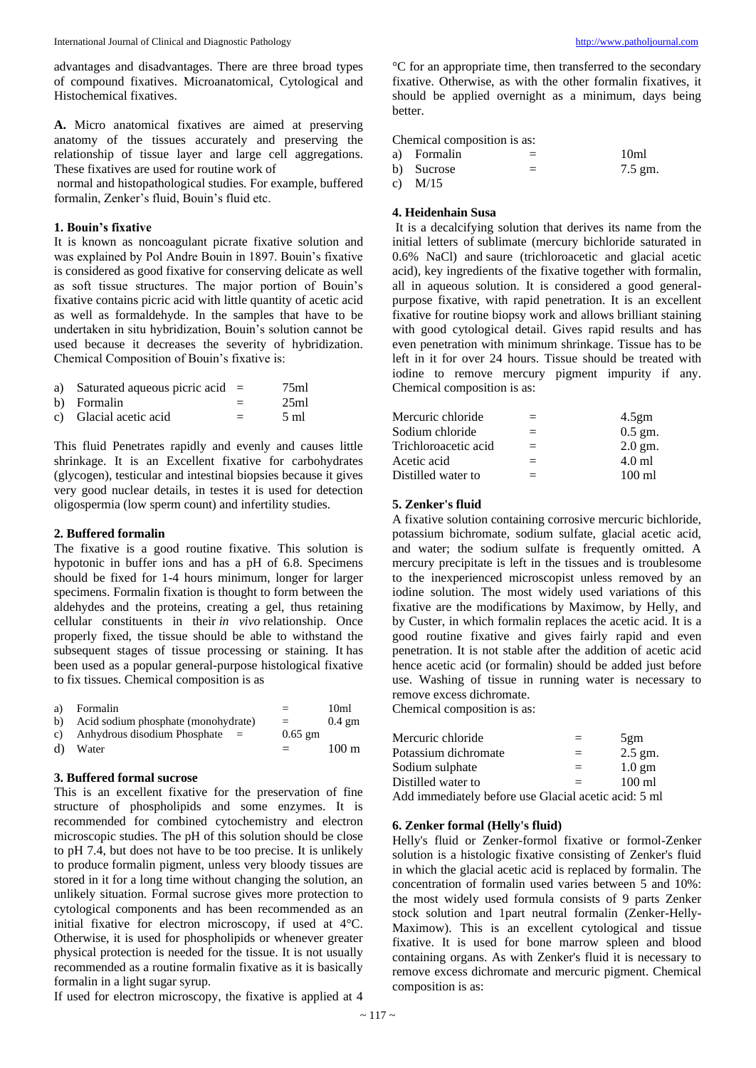advantages and disadvantages. There are three broad types of compound fixatives. Microanatomical, Cytological and Histochemical fixatives.

**A.** Micro anatomical fixatives are aimed at preserving anatomy of the tissues accurately and preserving the relationship of tissue layer and large cell aggregations. These fixatives are used for routine work of

normal and histopathological studies. For example, buffered formalin, Zenker's fluid, Bouin's fluid etc.

# **1. Bouin's fixative**

It is known as noncoagulant picrate fixative solution and was explained by Pol Andre Bouin in 1897. Bouin's fixative is considered as good fixative for conserving delicate as well as soft tissue structures. The major portion of Bouin's fixative contains picric acid with little quantity of acetic acid as well as formaldehyde. In the samples that have to be undertaken in situ hybridization, Bouin's solution cannot be used because it decreases the severity of hybridization. Chemical Composition of Bouin's fixative is:

| a) Saturated aqueous picric acid $=$ | 75ml |
|--------------------------------------|------|
| b) Formalin                          | 25ml |

c) Glacial acetic acid  $=$  5 ml

This fluid Penetrates rapidly and evenly and causes little shrinkage. It is an Excellent fixative for carbohydrates (glycogen), testicular and intestinal biopsies because it gives very good nuclear details, in testes it is used for detection oligospermia (low sperm count) and infertility studies.

## **2. Buffered formalin**

The fixative is a good routine fixative. This solution is hypotonic in buffer ions and has a pH of 6.8. Specimens should be fixed for 1-4 hours minimum, longer for larger specimens. Formalin fixation is thought to form between the aldehydes and the proteins, creating a gel, thus retaining cellular constituents in their *in vivo* relationship. Once properly fixed, the tissue should be able to withstand the subsequent stages of tissue processing or staining. It has been used as a popular general-purpose histological fixative to fix tissues. Chemical composition is as

| a) | Formalin                               | $=$       | 10 <sub>m</sub>  |
|----|----------------------------------------|-----------|------------------|
| b) | Acid sodium phosphate (monohydrate)    | $=$       | $0.4 \text{ gm}$ |
|    | c) Anhydrous disodium Phosphate<br>$=$ | $0.65$ gm |                  |
| d) | Water                                  | $=$       | $100 \text{ m}$  |
|    |                                        |           |                  |

# **3. Buffered formal sucrose**

This is an excellent fixative for the preservation of fine structure of phospholipids and some enzymes. It is recommended for combined cytochemistry and electron microscopic studies. The pH of this solution should be close to pH 7.4, but does not have to be too precise. It is unlikely to produce formalin pigment, unless very bloody tissues are stored in it for a long time without changing the solution, an unlikely situation. Formal sucrose gives more protection to cytological components and has been recommended as an initial fixative for electron microscopy, if used at 4°C. Otherwise, it is used for phospholipids or whenever greater physical protection is needed for the tissue. It is not usually recommended as a routine formalin fixative as it is basically formalin in a light sugar syrup.

If used for electron microscopy, the fixative is applied at 4

°C for an appropriate time, then transferred to the secondary fixative. Otherwise, as with the other formalin fixatives, it should be applied overnight as a minimum, days being better.

Chemical composition is as:

| a) Formalin |                          | 10 <sub>m1</sub> |
|-------------|--------------------------|------------------|
| b) Sucrose  | $\overline{\phantom{a}}$ | 7.5 gm.          |
| ------      |                          |                  |

c) M/15

# **4. Heidenhain Susa**

It is a decalcifying solution that derives its name from the initial letters of sublimate (mercury bichloride saturated in 0.6% NaCl) and saure (trichloroacetic and glacial acetic acid), key ingredients of the fixative together with formalin, all in aqueous solution. It is considered a good generalpurpose fixative, with rapid penetration. It is an excellent fixative for routine biopsy work and allows brilliant staining with good cytological detail. Gives rapid results and has even penetration with minimum shrinkage. Tissue has to be left in it for over 24 hours. Tissue should be treated with iodine to remove mercury pigment impurity if any. Chemical composition is as:

| $=$ | $4.5$ gm  |
|-----|-----------|
| $=$ | $0.5$ gm. |
| $=$ | $2.0$ gm. |
| $=$ | 4.0 ml    |
| $=$ | 100 ml    |
|     |           |

#### **5. Zenker's fluid**

A fixative solution containing corrosive mercuric bichloride, potassium bichromate, sodium sulfate, glacial acetic acid, and water; the sodium sulfate is frequently omitted. A mercury precipitate is left in the tissues and is troublesome to the inexperienced microscopist unless removed by an iodine solution. The most widely used variations of this fixative are the modifications by Maximow, by Helly, and by Custer, in which formalin replaces the acetic acid. It is a good routine fixative and gives fairly rapid and even penetration. It is not stable after the addition of acetic acid hence acetic acid (or formalin) should be added just before use. Washing of tissue in running water is necessary to remove excess dichromate.

Chemical composition is as:

| Mercuric chloride                                    | $=$ | 5gm              |
|------------------------------------------------------|-----|------------------|
| Potassium dichromate                                 | $=$ | $2.5$ gm.        |
| Sodium sulphate                                      | $=$ | $1.0 \text{ gm}$ |
| Distilled water to                                   | $=$ | $100 \text{ ml}$ |
| Add immediately before use Glacial acetic acid: 5 ml |     |                  |

# **6. Zenker formal (Helly's fluid)**

Helly's fluid or Zenker-formol fixative or formol-Zenker solution is a histologic fixative consisting of Zenker's fluid in which the glacial acetic acid is replaced by formalin. The concentration of formalin used varies between 5 and 10%: the most widely used formula consists of 9 parts Zenker stock solution and 1part neutral formalin (Zenker-Helly-Maximow). This is an excellent cytological and tissue fixative. It is used for bone marrow spleen and blood containing organs. As with Zenker's fluid it is necessary to remove excess dichromate and mercuric pigment. Chemical composition is as: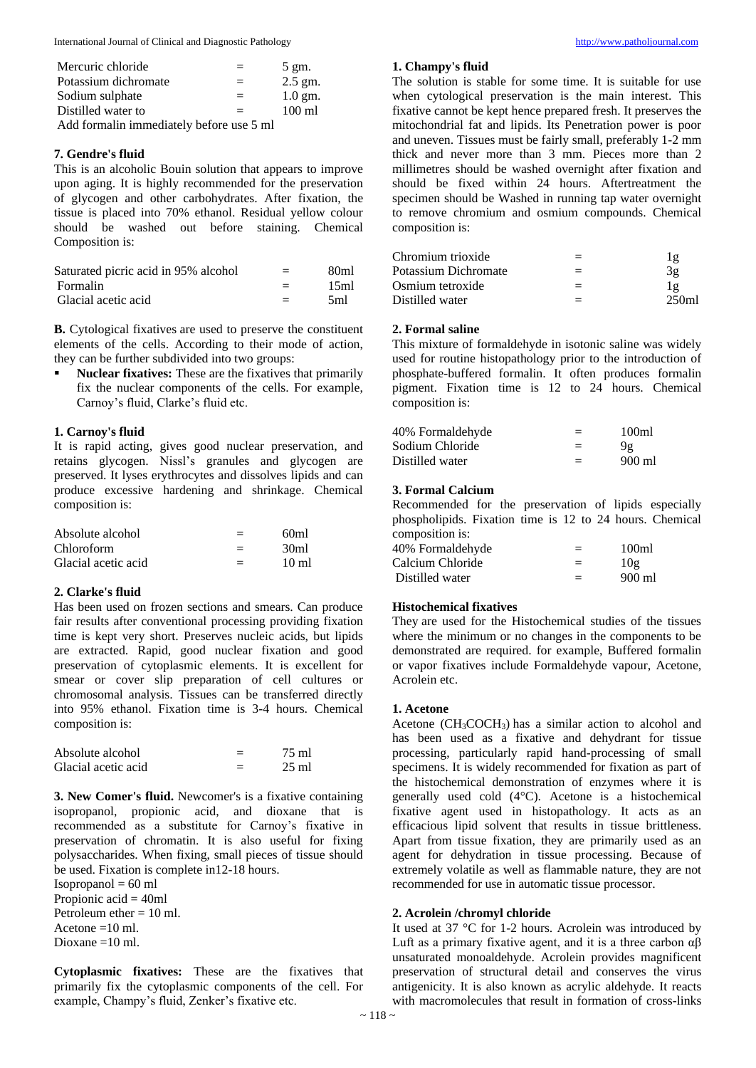International Journal of Clinical and Diagnostic Pathology [http://www.patholjournal.com](http://www.patholjournal.com/)

| Mercuric chloride                        | $=$ | $5 \text{ gm.}$  |
|------------------------------------------|-----|------------------|
| Potassium dichromate                     | $=$ | $2.5$ gm.        |
| Sodium sulphate                          | $=$ | $1.0$ gm.        |
| Distilled water to                       | $=$ | $100 \text{ ml}$ |
| Add formalin immediately before use 5 ml |     |                  |

# **7. Gendre's fluid**

This is an alcoholic Bouin solution that appears to improve upon aging. It is highly recommended for the preservation of glycogen and other carbohydrates. After fixation, the tissue is placed into 70% ethanol. Residual yellow colour should be washed out before staining. Chemical Composition is:

| Saturated picric acid in 95% alcohol | $=$ | 80 <sub>ml</sub> |
|--------------------------------------|-----|------------------|
| Formalin                             | $=$ | 15ml             |
| Glacial acetic acid                  | $=$ | .5ml             |

**B.** Cytological fixatives are used to preserve the constituent elements of the cells. According to their mode of action, they can be further subdivided into two groups:

▪ **Nuclear fixatives:** These are the fixatives that primarily fix the nuclear components of the cells. For example, Carnoy's fluid, Clarke's fluid etc.

# **1. Carnoy's fluid**

It is rapid acting, gives good nuclear preservation, and retains glycogen. Nissl's granules and glycogen are preserved. It lyses erythrocytes and dissolves lipids and can produce excessive hardening and shrinkage. Chemical composition is:

| Absolute alcohol    | $=$ | 60ml             |
|---------------------|-----|------------------|
| <b>Chloroform</b>   |     | 30 <sub>m1</sub> |
| Glacial acetic acid |     | $10 \text{ ml}$  |

# **2. Clarke's fluid**

Has been used on frozen sections and smears. Can produce fair results after conventional processing providing fixation time is kept very short. Preserves nucleic acids, but lipids are extracted. Rapid, good nuclear fixation and good preservation of cytoplasmic elements. It is excellent for smear or cover slip preparation of cell cultures or chromosomal analysis. Tissues can be transferred directly into 95% ethanol. Fixation time is 3-4 hours. Chemical composition is:

| Absolute alcohol    |        | 75 ml           |
|---------------------|--------|-----------------|
| Glacial acetic acid | _<br>_ | $25 \text{ ml}$ |

**3. New Comer's fluid.** Newcomer's is a fixative containing isopropanol, propionic acid, and dioxane that is recommended as a substitute for Carnoy's fixative in preservation of chromatin. It is also useful for fixing polysaccharides. When fixing, small pieces of tissue should be used. Fixation is complete in12-18 hours.

 $Isopropanol = 60 ml$ 

Propionic  $\text{acid} = 40 \text{ml}$ Petroleum ether  $= 10$  ml. Acetone  $=10$  ml.

Dioxane =10 ml.

**Cytoplasmic fixatives:** These are the fixatives that primarily fix the cytoplasmic components of the cell. For example, Champy's fluid, Zenker's fixative etc.

# **1. Champy's fluid**

The solution is stable for some time. It is suitable for use when cytological preservation is the main interest. This fixative cannot be kept hence prepared fresh. It preserves the mitochondrial fat and lipids. Its Penetration power is poor and uneven. Tissues must be fairly small, preferably 1-2 mm thick and never more than 3 mm. Pieces more than 2 millimetres should be washed overnight after fixation and should be fixed within 24 hours. Aftertreatment the specimen should be Washed in running tap water overnight to remove chromium and osmium compounds. Chemical composition is:

| Chromium trioxide    | $=$ | lg        |
|----------------------|-----|-----------|
| Potassium Dichromate | $=$ | 3g        |
| Osmium tetroxide     | $=$ | $1\sigma$ |
| Distilled water      | $=$ | 250ml     |

# **2. Formal saline**

This mixture of formaldehyde in isotonic saline was widely used for routine histopathology prior to the introduction of phosphate-buffered formalin. It often produces formalin pigment. Fixation time is 12 to 24 hours. Chemical composition is:

| 40% Formaldehyde | $=$ | 100ml            |
|------------------|-----|------------------|
| Sodium Chloride  | $=$ | 9g               |
| Distilled water  | $=$ | $900 \text{ ml}$ |

# **3. Formal Calcium**

Recommended for the preservation of lipids especially phospholipids. Fixation time is 12 to 24 hours. Chemical composition is:

| composition to:  |     |                   |
|------------------|-----|-------------------|
| 40% Formaldehyde | $=$ | 100 <sub>ml</sub> |
| Calcium Chloride | $=$ | 10g               |
| Distilled water  | $=$ | 900 ml            |

# **Histochemical fixatives**

They are used for the Histochemical studies of the tissues where the minimum or no changes in the components to be demonstrated are required. for example, Buffered formalin or vapor fixatives include Formaldehyde vapour, Acetone, Acrolein etc.

#### **1. Acetone**

Acetone  $(CH_3COCH_3)$  has a similar action to alcohol and has been used as a fixative and dehydrant for tissue processing, particularly rapid hand-processing of small specimens. It is widely recommended for fixation as part of the histochemical demonstration of enzymes where it is generally used cold (4°C). Acetone is a histochemical fixative agent used in histopathology. It acts as an efficacious lipid solvent that results in tissue brittleness. Apart from tissue fixation, they are primarily used as an agent for dehydration in tissue processing. Because of extremely volatile as well as flammable nature, they are not recommended for use in automatic tissue processor.

#### **2. Acrolein /chromyl chloride**

It used at 37 °C for 1-2 hours. Acrolein was introduced by Luft as a primary fixative agent, and it is a three carbon  $\alpha\beta$ unsaturated monoaldehyde. Acrolein provides magnificent preservation of structural detail and conserves the virus antigenicity. It is also known as acrylic aldehyde. It reacts with macromolecules that result in formation of cross-links